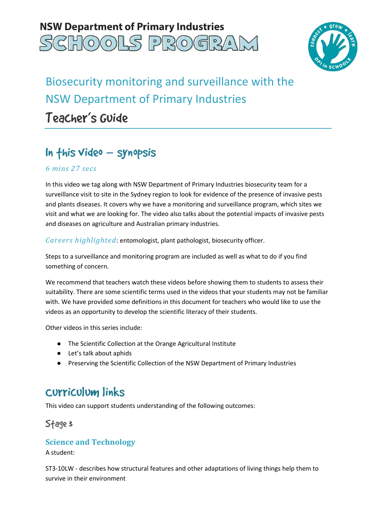



# Biosecurity monitoring and surveillance with the NSW Department of Primary Industries Teacher's Guide

## In this video – synopsis

#### *6 mins 27 secs*

 In this video we tag along with NSW Department of Primary Industries biosecurity team for a surveillance visit to site in the Sydney region to look for evidence of the presence of invasive pests and plants diseases. It covers why we have a monitoring and surveillance program, which sites we visit and what we are looking for. The video also talks about the potential impacts of invasive pests and diseases on agriculture and Australian primary industries.

*Careers highlighted*: entomologist, plant pathologist, biosecurity officer.

 Steps to a surveillance and monitoring program are included as well as what to do if you find something of concern.

 We recommend that teachers watch these videos before showing them to students to assess their suitability. There are some scientific terms used in the videos that your students may not be familiar with. We have provided some definitions in this document for teachers who would like to use the videos as an opportunity to develop the scientific literacy of their students.

Other videos in this series include:

- The Scientific Collection at the Orange Agricultural Institute
- Let's talk about aphids
- Preserving the Scientific Collection of the NSW Department of Primary Industries

### Curriculum links

This video can support students understanding of the following outcomes:

### Stage 3

#### **Science and Technology**

A student:

 ST3-10LW - describes how structural features and other adaptations of living things help them to survive in their environment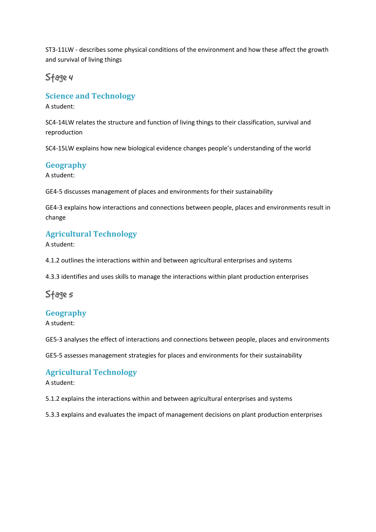ST3-11LW - describes some physical conditions of the environment and how these affect the growth and survival of living things

### Stage 4

#### **Science and Technology**

A student:

 SC4-14LW relates the structure and function of living things to their classification, survival and reproduction

reproduction<br>SC4-15LW explains how new biological evidence changes people's understanding of the world

#### **Geography**

A student:

GE4-5 discusses management of places and environments for their sustainability

 GE4-3 explains how interactions and connections between people, places and environments result in change

#### **Agricultural Technology**

A student:

4.1.2 outlines the interactions within and between agricultural enterprises and systems

4.3.3 identifies and uses skills to manage the interactions within plant production enterprises

### Sfage*s*

#### **Geography**

A student:

GE5-3 analyses the effect of interactions and connections between people, places and environments

GE5-5 assesses management strategies for places and environments for their sustainability

#### **Agricultural Technology**

A student:

5.1.2 explains the interactions within and between agricultural enterprises and systems

5.3.3 explains and evaluates the impact of management decisions on plant production enterprises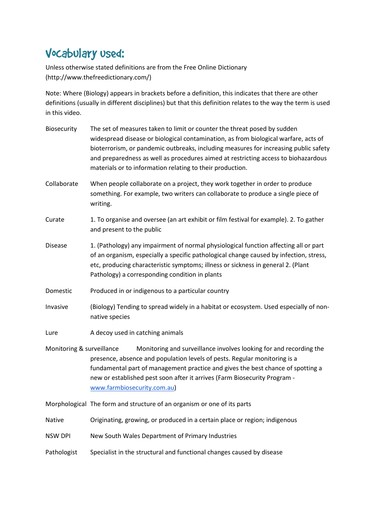## Vocabulary used:

 Unless otherwise stated definitions are from the Free Online Dictionary (http://www.thefreedictionary.com/)

 Note: Where (Biology) appears in brackets before a definition, this indicates that there are other definitions (usually in different disciplines) but that this definition relates to the way the term is used in this video.

| Biosecurity               | The set of measures taken to limit or counter the threat posed by sudden<br>widespread disease or biological contamination, as from biological warfare, acts of<br>bioterrorism, or pandemic outbreaks, including measures for increasing public safety<br>and preparedness as well as procedures aimed at restricting access to biohazardous<br>materials or to information relating to their production. |
|---------------------------|------------------------------------------------------------------------------------------------------------------------------------------------------------------------------------------------------------------------------------------------------------------------------------------------------------------------------------------------------------------------------------------------------------|
| Collaborate               | When people collaborate on a project, they work together in order to produce<br>something. For example, two writers can collaborate to produce a single piece of<br>writing.                                                                                                                                                                                                                               |
| Curate                    | 1. To organise and oversee (an art exhibit or film festival for example). 2. To gather<br>and present to the public                                                                                                                                                                                                                                                                                        |
| <b>Disease</b>            | 1. (Pathology) any impairment of normal physiological function affecting all or part<br>of an organism, especially a specific pathological change caused by infection, stress,<br>etc, producing characteristic symptoms; illness or sickness in general 2. (Plant<br>Pathology) a corresponding condition in plants                                                                                       |
| Domestic                  | Produced in or indigenous to a particular country                                                                                                                                                                                                                                                                                                                                                          |
| Invasive                  | (Biology) Tending to spread widely in a habitat or ecosystem. Used especially of non-<br>native species                                                                                                                                                                                                                                                                                                    |
| Lure                      | A decoy used in catching animals                                                                                                                                                                                                                                                                                                                                                                           |
| Monitoring & surveillance | Monitoring and surveillance involves looking for and recording the<br>presence, absence and population levels of pests. Regular monitoring is a<br>fundamental part of management practice and gives the best chance of spotting a<br>new or established pest soon after it arrives (Farm Biosecurity Program -<br>www.farmbiosecurity.com.au)                                                             |
|                           | Morphological The form and structure of an organism or one of its parts                                                                                                                                                                                                                                                                                                                                    |
| Native                    | Originating, growing, or produced in a certain place or region; indigenous                                                                                                                                                                                                                                                                                                                                 |
| <b>NSW DPI</b>            | New South Wales Department of Primary Industries                                                                                                                                                                                                                                                                                                                                                           |
| Pathologist               | Specialist in the structural and functional changes caused by disease                                                                                                                                                                                                                                                                                                                                      |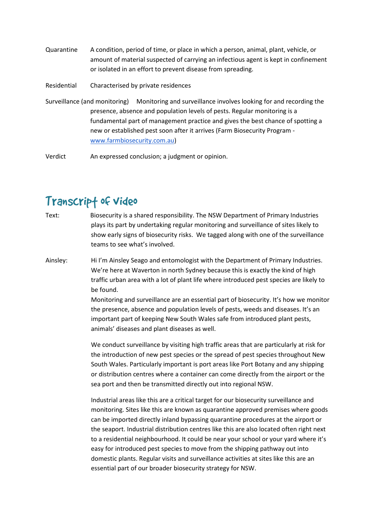- Quarantine amount of material suspected of carrying an infectious agent is kept in confinement or isolated in an effort to prevent disease from spreading. A condition, period of time, or place in which a person, animal, plant, vehicle, or
- Residential Characterised by private residences
- Surveillance (and monitoring) Monitoring and surveillance involves looking for and recording the presence, absence and population levels of pests. Regular monitoring is a fundamental part of management practice and gives the best chance of spotting a new or established pest soon after it arrives (Farm Biosecurity Program www.farmbiosecurity.com.au)

Verdict An expressed conclusion; a judgment or opinion.

## Transcrip† of video

- Text: plays its part by undertaking regular monitoring and surveillance of sites likely to show early signs of biosecurity risks. We tagged along with one of the surveillance teams to see what's involved. Biosecurity is a shared responsibility. The NSW Department of Primary Industries
- Ainsley: We're here at Waverton in north Sydney because this is exactly the kind of high traffic urban area with a lot of plant life where introduced pest species are likely to be found. Hi I'm Ainsley Seago and entomologist with the Department of Primary Industries.

 Monitoring and surveillance are an essential part of biosecurity. It's how we monitor the presence, absence and population levels of pests, weeds and diseases. It's an important part of keeping New South Wales safe from introduced plant pests, animals' diseases and plant diseases as well.

 We conduct surveillance by visiting high traffic areas that are particularly at risk for the introduction of new pest species or the spread of pest species throughout New South Wales. Particularly important is port areas like Port Botany and any shipping or distribution centres where a container can come directly from the airport or the sea port and then be transmitted directly out into regional NSW.

 Industrial areas like this are a critical target for our biosecurity surveillance and monitoring. Sites like this are known as quarantine approved premises where goods can be imported directly inland bypassing quarantine procedures at the airport or the seaport. Industrial distribution centres like this are also located often right next to a residential neighbourhood. It could be near your school or your yard where it's easy for introduced pest species to move from the shipping pathway out into domestic plants. Regular visits and surveillance activities at sites like this are an essential part of our broader biosecurity strategy for NSW.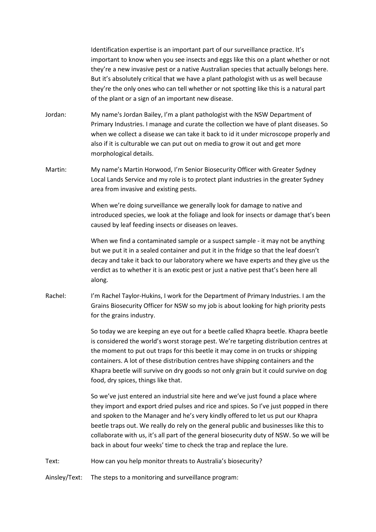Identification expertise is an important part of our surveillance practice. It's important to know when you see insects and eggs like this on a plant whether or not they're a new invasive pest or a native Australian species that actually belongs here. But it's absolutely critical that we have a plant pathologist with us as well because they're the only ones who can tell whether or not spotting like this is a natural part of the plant or a sign of an important new disease.

- Jordan: Primary Industries. I manage and curate the collection we have of plant diseases. So when we collect a disease we can take it back to id it under microscope properly and also if it is culturable we can put out on media to grow it out and get more morphological details. My name's Jordan Bailey, I'm a plant pathologist with the NSW Department of
- Martin: Local Lands Service and my role is to protect plant industries in the greater Sydney area from invasive and existing pests. My name's Martin Horwood, I'm Senior Biosecurity Officer with Greater Sydney

 When we're doing surveillance we generally look for damage to native and introduced species, we look at the foliage and look for insects or damage that's been caused by leaf feeding insects or diseases on leaves.

 When we find a contaminated sample or a suspect sample - it may not be anything but we put it in a sealed container and put it in the fridge so that the leaf doesn't decay and take it back to our laboratory where we have experts and they give us the verdict as to whether it is an exotic pest or just a native pest that's been here all along.<br>I'm Rachel Taylor-Hukins, I work for the Department of Primary Industries. I am the

Rachel: Grains Biosecurity Officer for NSW so my job is about looking for high priority pests for the grains industry.

> So today we are keeping an eye out for a beetle called Khapra beetle. Khapra beetle is considered the world's worst storage pest. We're targeting distribution centres at the moment to put out traps for this beetle it may come in on trucks or shipping containers. A lot of these distribution centres have shipping containers and the Khapra beetle will survive on dry goods so not only grain but it could survive on dog food, dry spices, things like that.

> So we've just entered an industrial site here and we've just found a place where they import and export dried pulses and rice and spices. So I've just popped in there and spoken to the Manager and he's very kindly offered to let us put our Khapra beetle traps out. We really do rely on the general public and businesses like this to collaborate with us, it's all part of the general biosecurity duty of NSW. So we will be back in about four weeks' time to check the trap and replace the lure.

Text: How can you help monitor threats to Australia's biosecurity?

Ainsley/Text: The steps to a monitoring and surveillance program: